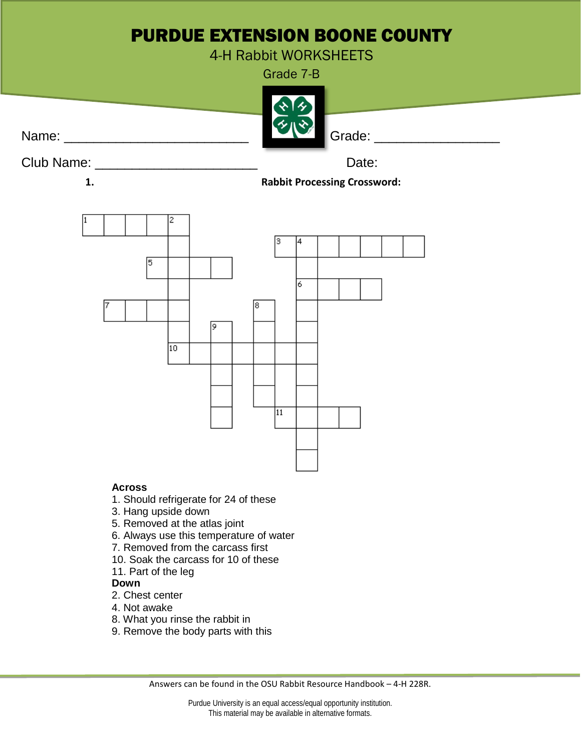## PURDUE EXTENSION BOONE COUNTY

4-H Rabbit WORKSHEETS

Grade 7-B



Club Name: \_\_\_\_\_\_\_\_\_\_\_\_\_\_\_\_\_\_\_\_\_\_ Date:

**1. Rabbit Processing Crossword:**



## **Across**

- 1. Should refrigerate for 24 of these
- 3. Hang upside down
- 5. Removed at the atlas joint
- 6. Always use this temperature of water
- 7. Removed from the carcass first
- 10. Soak the carcass for 10 of these
- 11. Part of the leg

## **Down**

- 2. Chest center
- 4. Not awake
- 8. What you rinse the rabbit in
- 9. Remove the body parts with this